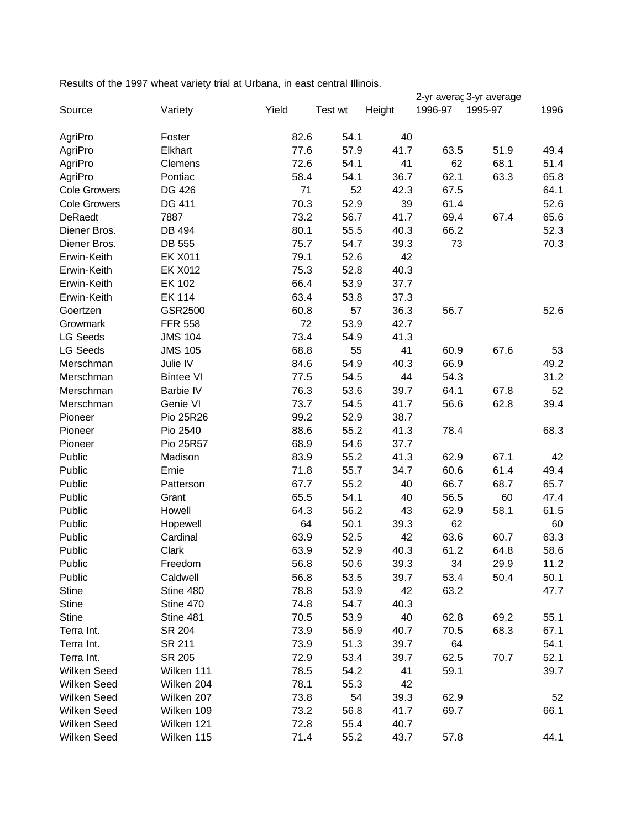Results of the 1997 wheat variety trial at Urbana, in east central Illinois.

|                     |                  |       |         |        | 2-yr averaç 3-yr average |         |      |
|---------------------|------------------|-------|---------|--------|--------------------------|---------|------|
| Source              | Variety          | Yield | Test wt | Height | 1996-97                  | 1995-97 | 1996 |
| AgriPro             | Foster           | 82.6  | 54.1    | 40     |                          |         |      |
| AgriPro             | Elkhart          | 77.6  | 57.9    | 41.7   | 63.5                     | 51.9    | 49.4 |
| AgriPro             | Clemens          | 72.6  | 54.1    | 41     | 62                       | 68.1    | 51.4 |
| AgriPro             | Pontiac          | 58.4  | 54.1    | 36.7   | 62.1                     | 63.3    | 65.8 |
| <b>Cole Growers</b> | DG 426           | 71    | 52      | 42.3   | 67.5                     |         | 64.1 |
| <b>Cole Growers</b> | DG 411           | 70.3  | 52.9    | 39     | 61.4                     |         | 52.6 |
| DeRaedt             | 7887             | 73.2  | 56.7    | 41.7   | 69.4                     | 67.4    | 65.6 |
| Diener Bros.        | DB 494           | 80.1  | 55.5    | 40.3   | 66.2                     |         | 52.3 |
| Diener Bros.        | DB 555           | 75.7  | 54.7    | 39.3   | 73                       |         | 70.3 |
| Erwin-Keith         | <b>EK X011</b>   | 79.1  | 52.6    | 42     |                          |         |      |
| Erwin-Keith         | <b>EK X012</b>   | 75.3  | 52.8    | 40.3   |                          |         |      |
| Erwin-Keith         | <b>EK 102</b>    | 66.4  | 53.9    | 37.7   |                          |         |      |
| Erwin-Keith         | <b>EK 114</b>    | 63.4  | 53.8    | 37.3   |                          |         |      |
| Goertzen            | GSR2500          | 60.8  | 57      | 36.3   | 56.7                     |         | 52.6 |
| Growmark            | <b>FFR 558</b>   | 72    | 53.9    | 42.7   |                          |         |      |
| <b>LG Seeds</b>     | <b>JMS 104</b>   | 73.4  | 54.9    | 41.3   |                          |         |      |
| <b>LG Seeds</b>     | <b>JMS 105</b>   | 68.8  | 55      | 41     | 60.9                     | 67.6    | 53   |
| Merschman           | Julie IV         | 84.6  | 54.9    | 40.3   | 66.9                     |         | 49.2 |
| Merschman           | <b>Bintee VI</b> | 77.5  | 54.5    | 44     | 54.3                     |         | 31.2 |
| Merschman           | Barbie IV        | 76.3  | 53.6    | 39.7   | 64.1                     | 67.8    | 52   |
| Merschman           | Genie VI         | 73.7  | 54.5    | 41.7   | 56.6                     | 62.8    | 39.4 |
| Pioneer             | Pio 25R26        | 99.2  | 52.9    | 38.7   |                          |         |      |
| Pioneer             | Pio 2540         | 88.6  | 55.2    | 41.3   | 78.4                     |         | 68.3 |
| Pioneer             | Pio 25R57        | 68.9  | 54.6    | 37.7   |                          |         |      |
| Public              | Madison          | 83.9  | 55.2    | 41.3   | 62.9                     | 67.1    | 42   |
| Public              | Ernie            | 71.8  | 55.7    | 34.7   | 60.6                     | 61.4    | 49.4 |
| Public              | Patterson        | 67.7  | 55.2    | 40     | 66.7                     | 68.7    | 65.7 |
| Public              | Grant            | 65.5  | 54.1    | 40     | 56.5                     | 60      | 47.4 |
| Public              | Howell           | 64.3  | 56.2    | 43     | 62.9                     | 58.1    | 61.5 |
| Public              | Hopewell         | 64    | 50.1    | 39.3   | 62                       |         | 60   |
| Public              | Cardinal         | 63.9  | 52.5    | 42     | 63.6                     | 60.7    | 63.3 |
| Public              | Clark            | 63.9  | 52.9    | 40.3   | 61.2                     | 64.8    | 58.6 |
| Public              | Freedom          | 56.8  | 50.6    | 39.3   | 34                       | 29.9    | 11.2 |
| Public              | Caldwell         | 56.8  | 53.5    | 39.7   | 53.4                     | 50.4    | 50.1 |
| <b>Stine</b>        | Stine 480        | 78.8  | 53.9    | 42     | 63.2                     |         | 47.7 |
| <b>Stine</b>        | Stine 470        | 74.8  | 54.7    | 40.3   |                          |         |      |
| <b>Stine</b>        | Stine 481        | 70.5  | 53.9    | 40     | 62.8                     | 69.2    | 55.1 |
| Terra Int.          | SR 204           | 73.9  | 56.9    | 40.7   | 70.5                     | 68.3    | 67.1 |
| Terra Int.          | SR 211           | 73.9  | 51.3    | 39.7   | 64                       |         | 54.1 |
| Terra Int.          | SR 205           | 72.9  | 53.4    | 39.7   | 62.5                     | 70.7    | 52.1 |
| Wilken Seed         | Wilken 111       | 78.5  | 54.2    | 41     | 59.1                     |         | 39.7 |
| Wilken Seed         | Wilken 204       | 78.1  | 55.3    | 42     |                          |         |      |
| Wilken Seed         | Wilken 207       | 73.8  | 54      | 39.3   | 62.9                     |         | 52   |
| Wilken Seed         | Wilken 109       | 73.2  | 56.8    | 41.7   | 69.7                     |         | 66.1 |
| Wilken Seed         | Wilken 121       | 72.8  | 55.4    | 40.7   |                          |         |      |
| Wilken Seed         | Wilken 115       | 71.4  | 55.2    | 43.7   | 57.8                     |         | 44.1 |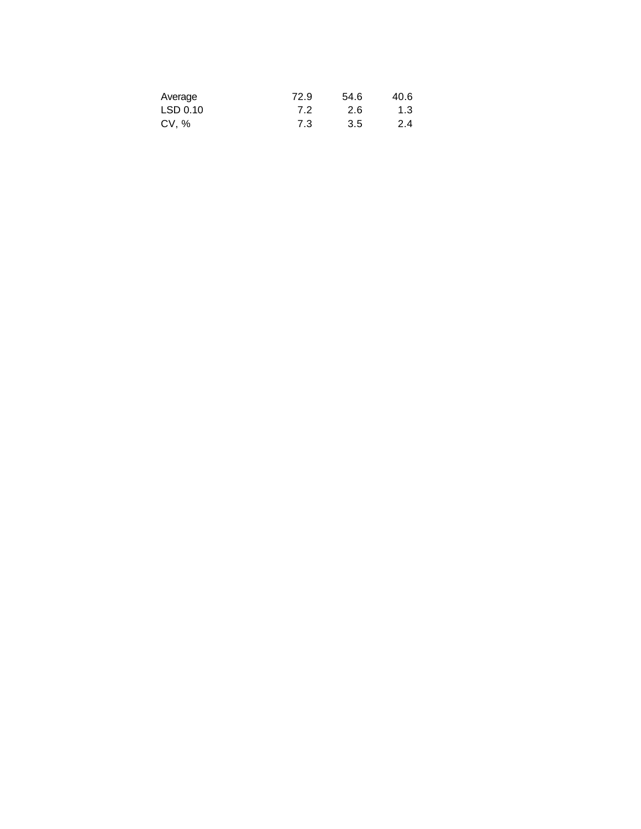| Average  | 72.9 | 54.6 | 40.6 |
|----------|------|------|------|
| LSD 0.10 | 7.2  | 2.6  | 1.3  |
| CV, %    | 7.3  | 3.5  | 2.4  |